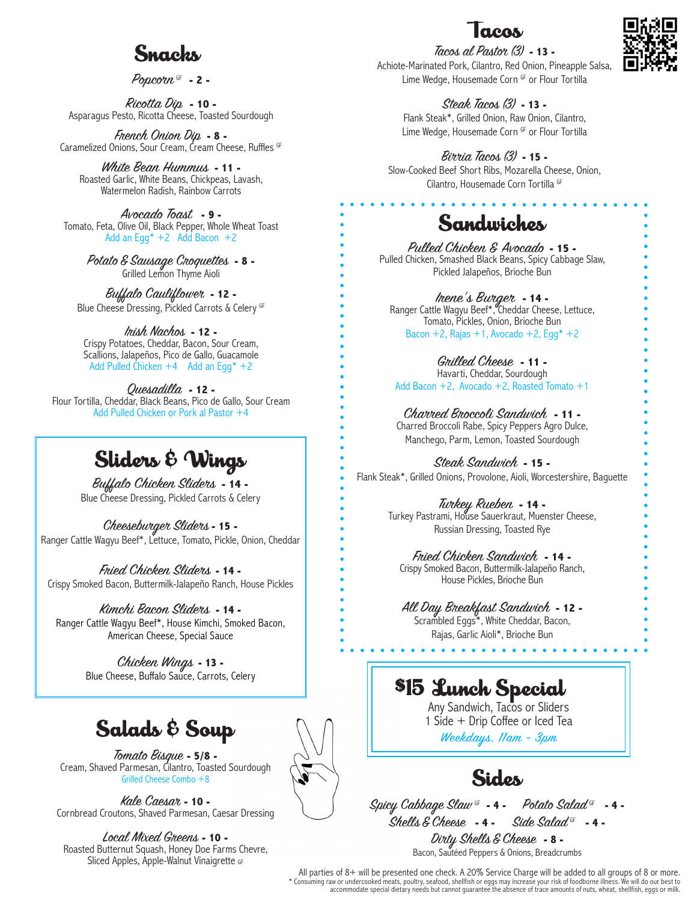## Sugghs

Popcorn GF **- 2 -**

Ricotta Dip **- 10 -** Asparagus Pesto, Ricotta Cheese, Toasted Sourdough

French Onion Dip **- 8 -** Caramelized Onions, Sour Cream, Cream Cheese, Ruffles GF

White Bean Hummus **- 11 -** Roasted Garlic, White Beans, Chickpeas, Lavash, Watermelon Radish, Rainbow Carrots

Avocado Toast **- 9 -** Tomato, Feta, Olive Oil, Black Pepper, Whole Wheat Toast Add an Eqq\*  $+2$  Add Bacon  $+2$ 

> Potato & Sausage Croquettes **- 8 -** Grilled Lemon Thyme Aioli

Buffalo Cauliflower **- 12 -** Blue Cheese Dressing, Pickled Carrots & Celery GF

Irish Nachos **- 12 -** Crispy Potatoes, Cheddar, Bacon, Sour Cream, Scallions, Jalapeños, Pico de Gallo, Guacamole Add Pulled Chicken  $+4$  Add an Egg\*  $+2$ 

Quesadilla **- 12 -** Flour Tortilla, Cheddar, Black Beans, Pico de Gallo, Sour Cream Add Pulled Chicken or Pork al Pastor +4

# Sliders & Wings

Buffalo Chicken Sliders **- 14 -** Blue Cheese Dressing, Pickled Carrots & Celery

Cheeseburger Sliders **- 15 -** Ranger Cattle Wagyu Beef\*, Lettuce, Tomato, Pickle, Onion, Cheddar

Fried Chicken Sliders **- 14 -** Crispy Smoked Bacon, Buttermilk-Jalapeño Ranch, House Pickles

Kimchi Bacon Sliders **- 14 -** Ranger Cattle Wagyu Beef\*, House Kimchi, Smoked Bacon, American Cheese, Special Sauce

> Chicken Wings **- 13 -** Blue Cheese, Buffalo Sauce, Carrots, Celery

# Salads & Soup

Tomato Bisque **- 5/8 -** Cream, Shaved Parmesan, Cilantro, Toasted Sourdough Grilled Cheese Combo +8

Kale Caesar **- 10 -** Cornbread Croutons, Shaved Parmesan, Caesar Dressing

Local Mixed Greens **- 10 -** Roasted Butternut Squash, Honey Doe Farms Chevre, Sliced Apples, Apple-Walnut Vinaigrette GF

Tacos al Pastor (3) **- 13 -** Achiote-Marinated Pork, Cilantro, Red Onion, Pineapple Salsa, Lime Wedge, Housemade Corn GF or Flour Tortilla

> Steak Tacos (3) **- 13 -** Flank Steak\*, Grilled Onion, Raw Onion, Cilantro,

Lime Wedge, Housemade Corn GF or Flour Tortilla

Birria Tacos (3) **- 15 -** Slow-Cooked Beef Short Ribs, Mozarella Cheese, Onion, Cilantro, Housemade Corn Tortilla GF

### Sandwiches

Pulled Chicken & Avocado **- 15 -** Pulled Chicken, Smashed Black Beans, Spicy Cabbage Slaw, Pickled Jalapeños, Brioche Bun

Irene's Burger **- 14 -** Ranger Cattle Wagyu Beef\*, Cheddar Cheese, Lettuce, Tomato, Pickles, Onion, Brioche Bun Bacon  $+2$ , Rajas  $+1$ , Avocado  $+2$ , Egg $* +2$ 

Grilled Cheese **- 11 -** Havarti, Cheddar, Sourdough Add Bacon +2, Avocado +2, Roasted Tomato +1

Charred Broccoli Sandwich **- 11 -** Charred Broccoli Rabe, Spicy Peppers Agro Dulce, Manchego, Parm, Lemon, Toasted Sourdough

Steak Sandwich **- 15 -** Flank Steak\*, Grilled Onions, Provolone, Aioli, Worcestershire, Baguette

> Turkey Rueben **- 14 -** Turkey Pastrami, House Sauerkraut, Muenster Cheese, Russian Dressing, Toasted Rye

#### Fried Chicken Sandwich **- 14 -**

Crispy Smoked Bacon, Buttermilk-Jalapeño Ranch, House Pickles, Brioche Bun

All Day Breakfast Sandwich **- 12 -** Scrambled Eggs\*, White Cheddar, Bacon, Rajas, Garlic Aioli\*, Brioche Bun

# $\$15$  Lunch Special

Any Sandwich, Tacos or Sliders 1 Side + Drip Coffee or Iced Tea Weekdays, 11am - 3pm

Sides

Spicy Cabbage Slaw GF **- 4 -** Potato Salad GF **- 4 -** Shells & Cheese **- 4 -** Side Salad GF **- 4 -**

Dirty Shells & Cheese **- 8 -** Bacon, Sautéed Peppers & Onions, Breadcrumbs

All parties of 8+ will be presented one check. A 20% Service Charge will be added to all groups of 8 or more.<br>\* Consuming raw or undercooked meats, poultry, seafood, shellfish or eggs may increase your risk of foodborne il